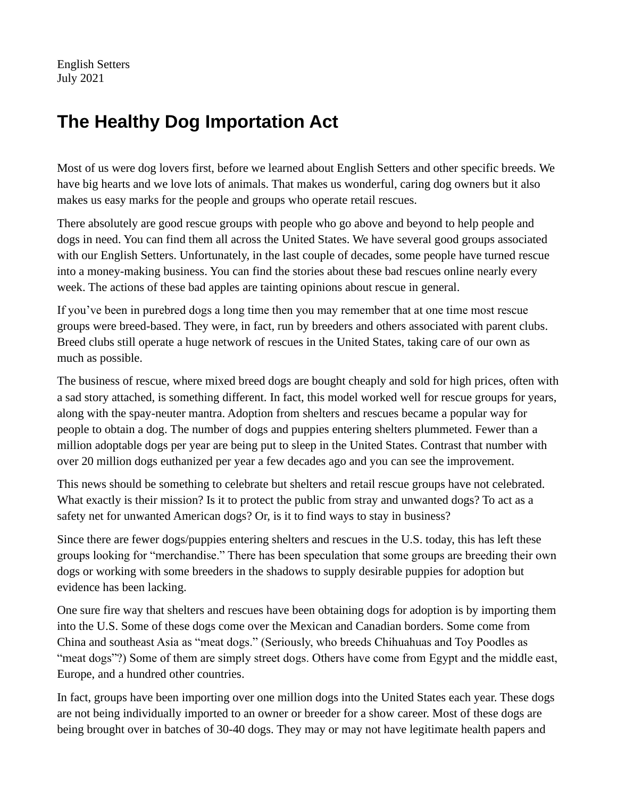English Setters July 2021

## **The Healthy Dog Importation Act**

Most of us were dog lovers first, before we learned about English Setters and other specific breeds. We have big hearts and we love lots of animals. That makes us wonderful, caring dog owners but it also makes us easy marks for the people and groups who operate retail rescues.

There absolutely are good rescue groups with people who go above and beyond to help people and dogs in need. You can find them all across the United States. We have several good groups associated with our English Setters. Unfortunately, in the last couple of decades, some people have turned rescue into a money-making business. You can find the stories about these bad rescues online nearly every week. The actions of these bad apples are tainting opinions about rescue in general.

If you've been in purebred dogs a long time then you may remember that at one time most rescue groups were breed-based. They were, in fact, run by breeders and others associated with parent clubs. Breed clubs still operate a huge network of rescues in the United States, taking care of our own as much as possible.

The business of rescue, where mixed breed dogs are bought cheaply and sold for high prices, often with a sad story attached, is something different. In fact, this model worked well for rescue groups for years, along with the spay-neuter mantra. Adoption from shelters and rescues became a popular way for people to obtain a dog. The number of dogs and puppies entering shelters plummeted. Fewer than a million adoptable dogs per year are being put to sleep in the United States. Contrast that number with over 20 million dogs euthanized per year a few decades ago and you can see the improvement.

This news should be something to celebrate but shelters and retail rescue groups have not celebrated. What exactly is their mission? Is it to protect the public from stray and unwanted dogs? To act as a safety net for unwanted American dogs? Or, is it to find ways to stay in business?

Since there are fewer dogs/puppies entering shelters and rescues in the U.S. today, this has left these groups looking for "merchandise." There has been speculation that some groups are breeding their own dogs or working with some breeders in the shadows to supply desirable puppies for adoption but evidence has been lacking.

One sure fire way that shelters and rescues have been obtaining dogs for adoption is by importing them into the U.S. Some of these dogs come over the Mexican and Canadian borders. Some come from China and southeast Asia as "meat dogs." (Seriously, who breeds Chihuahuas and Toy Poodles as "meat dogs"?) Some of them are simply street dogs. Others have come from Egypt and the middle east, Europe, and a hundred other countries.

In fact, groups have been importing over one million dogs into the United States each year. These dogs are not being individually imported to an owner or breeder for a show career. Most of these dogs are being brought over in batches of 30-40 dogs. They may or may not have legitimate health papers and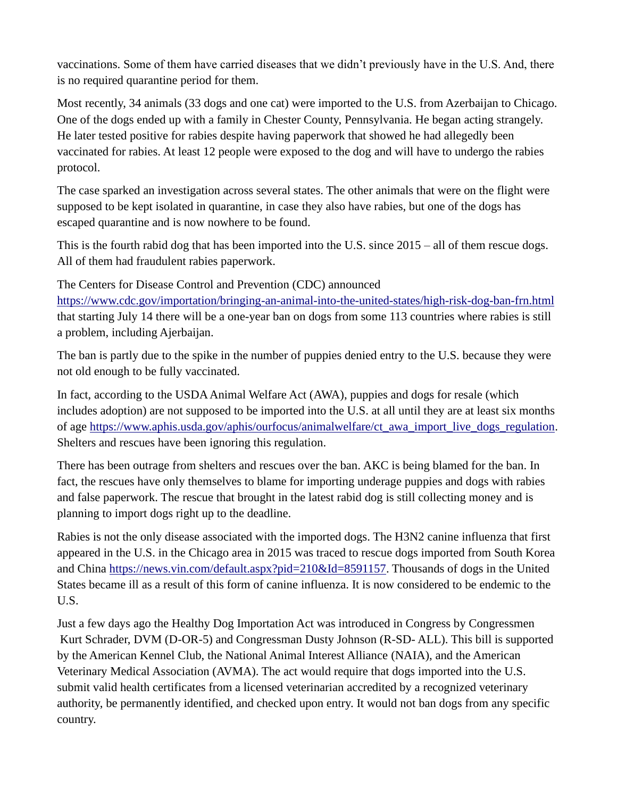vaccinations. Some of them have carried diseases that we didn't previously have in the U.S. And, there is no required quarantine period for them.

Most recently, 34 animals (33 dogs and one cat) were imported to the U.S. from Azerbaijan to Chicago. One of the dogs ended up with a family in Chester County, Pennsylvania. He began acting strangely. He later tested positive for rabies despite having paperwork that showed he had allegedly been vaccinated for rabies. At least 12 people were exposed to the dog and will have to undergo the rabies protocol.

The case sparked an investigation across several states. The other animals that were on the flight were supposed to be kept isolated in quarantine, in case they also have rabies, but one of the dogs has escaped quarantine and is now nowhere to be found.

This is the fourth rabid dog that has been imported into the U.S. since 2015 – all of them rescue dogs. All of them had fraudulent rabies paperwork.

The Centers for Disease Control and Prevention (CDC) announced <https://www.cdc.gov/importation/bringing-an-animal-into-the-united-states/high-risk-dog-ban-frn.html> that starting July 14 there will be a one-year ban on dogs from some 113 countries where rabies is still a problem, including Ajerbaijan.

The ban is partly due to the spike in the number of puppies denied entry to the U.S. because they were not old enough to be fully vaccinated.

In fact, according to the USDA Animal Welfare Act (AWA), puppies and dogs for resale (which includes adoption) are not supposed to be imported into the U.S. at all until they are at least six months of age [https://www.aphis.usda.gov/aphis/ourfocus/animalwelfare/ct\\_awa\\_import\\_live\\_dogs\\_regulation.](https://www.aphis.usda.gov/aphis/ourfocus/animalwelfare/ct_awa_import_live_dogs_regulation) Shelters and rescues have been ignoring this regulation.

There has been outrage from shelters and rescues over the ban. AKC is being blamed for the ban. In fact, the rescues have only themselves to blame for importing underage puppies and dogs with rabies and false paperwork. The rescue that brought in the latest rabid dog is still collecting money and is planning to import dogs right up to the deadline.

Rabies is not the only disease associated with the imported dogs. The H3N2 canine influenza that first appeared in the U.S. in the Chicago area in 2015 was traced to rescue dogs imported from South Korea and China [https://news.vin.com/default.aspx?pid=210&Id=8591157.](https://news.vin.com/default.aspx?pid=210&Id=8591157) Thousands of dogs in the United States became ill as a result of this form of canine influenza. It is now considered to be endemic to the U.S.

Just a few days ago the Healthy Dog Importation Act was introduced in Congress by Congressmen Kurt Schrader, DVM (D-OR-5) and Congressman Dusty Johnson (R-SD- ALL). This bill is supported by the American Kennel Club, the National Animal Interest Alliance (NAIA), and the American Veterinary Medical Association (AVMA). The act would require that dogs imported into the U.S. submit valid health certificates from a licensed veterinarian accredited by a recognized veterinary authority, be permanently identified, and checked upon entry. It would not ban dogs from any specific country.